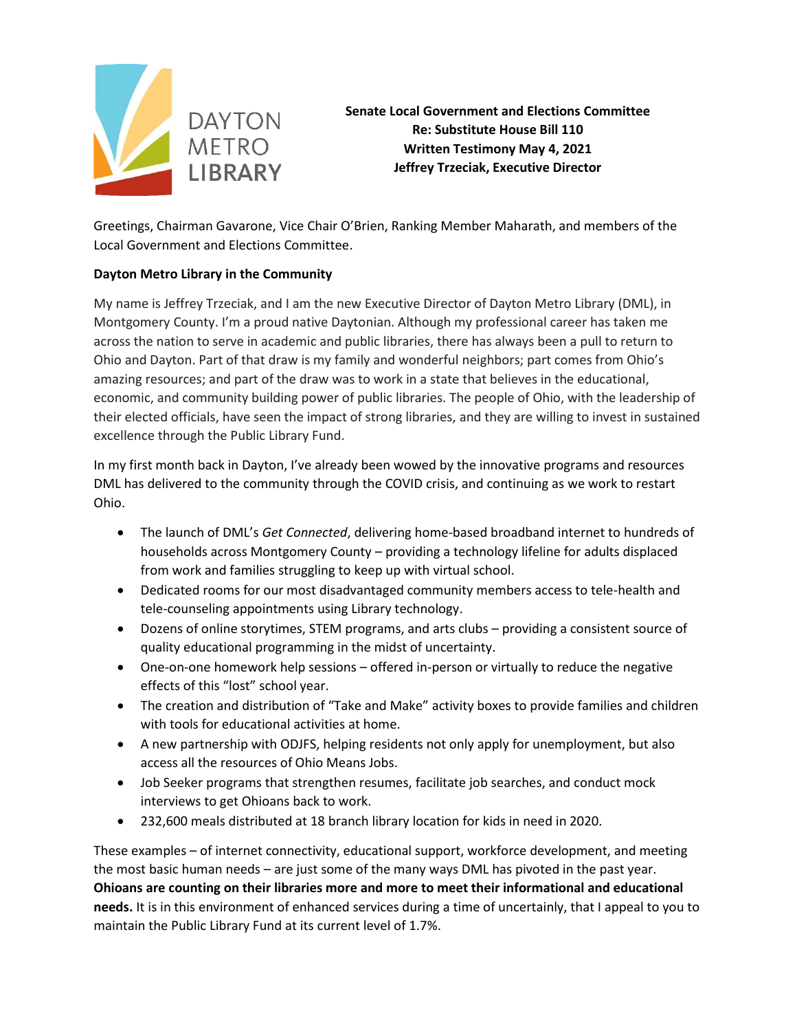

**Senate Local Government and Elections Committee Re: Substitute House Bill 110 Written Testimony May 4, 2021 Jeffrey Trzeciak, Executive Director**

Greetings, Chairman Gavarone, Vice Chair O'Brien, Ranking Member Maharath, and members of the Local Government and Elections Committee.

## **Dayton Metro Library in the Community**

My name is Jeffrey Trzeciak, and I am the new Executive Director of Dayton Metro Library (DML), in Montgomery County. I'm a proud native Daytonian. Although my professional career has taken me across the nation to serve in academic and public libraries, there has always been a pull to return to Ohio and Dayton. Part of that draw is my family and wonderful neighbors; part comes from Ohio's amazing resources; and part of the draw was to work in a state that believes in the educational, economic, and community building power of public libraries. The people of Ohio, with the leadership of their elected officials, have seen the impact of strong libraries, and they are willing to invest in sustained excellence through the Public Library Fund.

In my first month back in Dayton, I've already been wowed by the innovative programs and resources DML has delivered to the community through the COVID crisis, and continuing as we work to restart Ohio.

- The launch of DML's *Get Connected*, delivering home-based broadband internet to hundreds of households across Montgomery County – providing a technology lifeline for adults displaced from work and families struggling to keep up with virtual school.
- Dedicated rooms for our most disadvantaged community members access to tele-health and tele-counseling appointments using Library technology.
- Dozens of online storytimes, STEM programs, and arts clubs providing a consistent source of quality educational programming in the midst of uncertainty.
- One-on-one homework help sessions offered in-person or virtually to reduce the negative effects of this "lost" school year.
- The creation and distribution of "Take and Make" activity boxes to provide families and children with tools for educational activities at home.
- A new partnership with ODJFS, helping residents not only apply for unemployment, but also access all the resources of Ohio Means Jobs.
- Job Seeker programs that strengthen resumes, facilitate job searches, and conduct mock interviews to get Ohioans back to work.
- 232,600 meals distributed at 18 branch library location for kids in need in 2020.

These examples – of internet connectivity, educational support, workforce development, and meeting the most basic human needs – are just some of the many ways DML has pivoted in the past year. **Ohioans are counting on their libraries more and more to meet their informational and educational needs.** It is in this environment of enhanced services during a time of uncertainly, that I appeal to you to maintain the Public Library Fund at its current level of 1.7%.